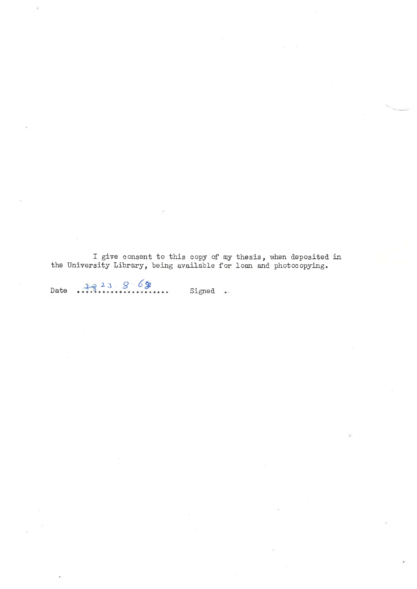I give consent to this copy of my thesis, when deposited in the University Library, being available for loan and photocopying.

 $2823868$ Date Signed  $\omega_{\rm d}$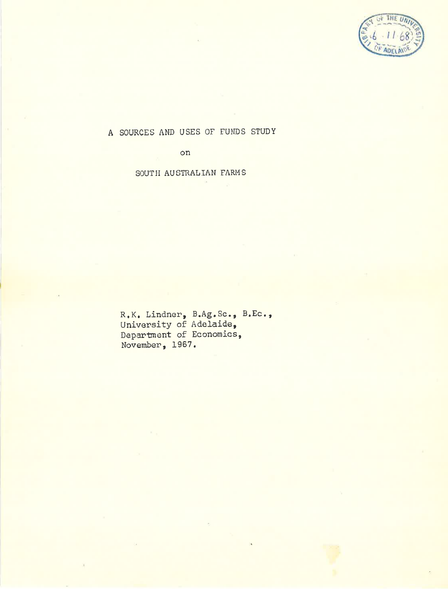

A SOURCES AND USES OF FUNDS STUDY

on

SOUTH AUSTRALIAN FARMS

R.K. Lindner, B.Ag.Sc., B.Ec.,<br>University of Adelaide, Department of Economics Novemben, I967.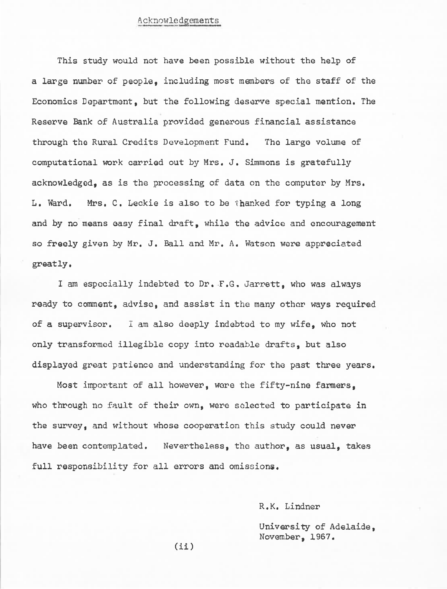## Acknowledgements

This study would not have been possible without the help of a large number of people. including most members of the staff of the Economics Department, but the following deserve special mention. The Reserve Bank of Australia provided generous financial assistance through the Rural Credits Development Fund. The large volume of computational work carried out by Mrs. J. Simmons is gratefully acknowledged. as is the processing of data on the computer by Mrs. L. Ward. Mrs. C. Leckie is also to be thanked for typing a long and by no means easy final draft, while the advice and encouragement so freely given by Mr. J. Ball and Mr. A. Watson were appreciated greatly.

I am especially indebted to Dr. F.G. Jarrett, who was always ready to comment, advise, and assist in the many other ways required of a supervisor. I am also deeply indebted to my wife, who not only transformed illegible copy into readable drafts, but also displayed great patience and understanding for the past three years.

Most important of all however, were the fifty-nine farmers. who through no fault of their own, were selected to participate in the survey, and without whose cooperation this study could never have been contemplated. Nevertheless, the author, as usual, takes full responsibility for all errors and omissions.

R.K. Lindner

University of Adelaide. November, 1967.

 $(ii)$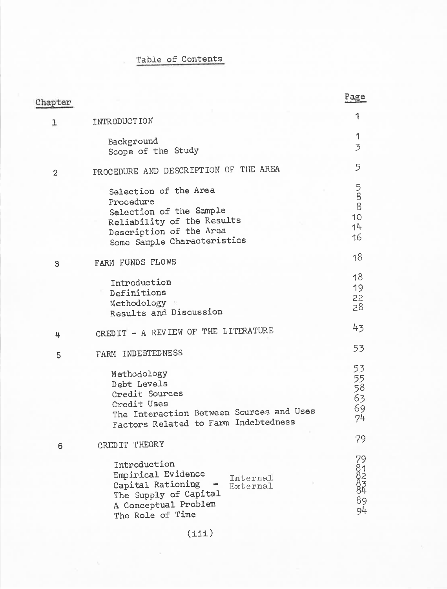## Table of Contents

| Chapter        |                                                                                                                                                       | <u>Page</u>                      |
|----------------|-------------------------------------------------------------------------------------------------------------------------------------------------------|----------------------------------|
| ı              | INTRODUCTION                                                                                                                                          | 1                                |
|                | Background<br>Scope of the Study                                                                                                                      | 1<br>$\overline{3}$              |
| $\overline{c}$ | PROCEDURE AND DESCRIPTION OF THE AREA                                                                                                                 | 5                                |
|                | Selection of the Area<br>Procedure<br>Selection of the Sample<br>Reliability of the Results<br>Description of the Area<br>Some Sample Characteristics | 588<br>10<br>14<br>16            |
| 3              | FARM FUNDS FLOWS                                                                                                                                      | 18                               |
|                | Introduction<br>Definitions<br>Methodology<br>Results and Discussion                                                                                  | 18<br>19<br>22<br>28             |
| 4              | CREDIT - A REVIEW OF THE LITERATURE                                                                                                                   | 43                               |
| 5              | FARM INDEBTEDNESS                                                                                                                                     | 53                               |
|                | Methodology<br>Debt Levels<br>Credit Sources<br>Credit Uses<br>The Interaction Between Sources and Uses<br>Factors Related to Farm Indebtedness       | 53<br>55<br>58<br>63<br>69<br>74 |
| 6              | CREDIT THEORY                                                                                                                                         | 79                               |
|                | Introduction<br>Empirical Evidence<br>Internal<br>Capital Rationing<br>External<br>The Supply of Capital<br>A Conceptual Problem<br>The Role of Time  | 791234<br>89<br>94               |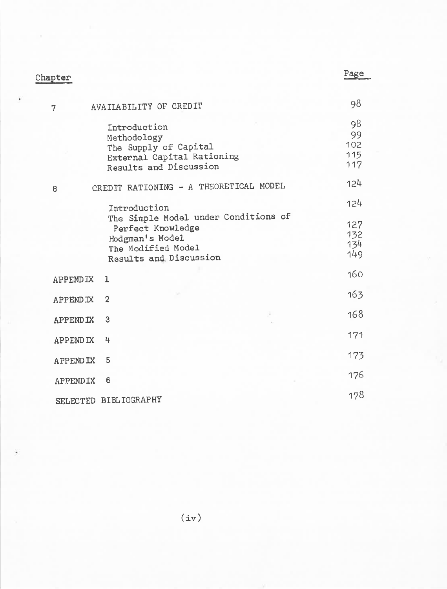| Chapter         |                                                                                                                              | <u>Page</u>                   |
|-----------------|------------------------------------------------------------------------------------------------------------------------------|-------------------------------|
|                 |                                                                                                                              |                               |
| 7               | AVAILABILITY OF CREDIT                                                                                                       | 98                            |
|                 | Introduction<br>Methodology<br>The Supply of Capital<br>External Capital Rationing<br>Results and Discussion                 | 98<br>99<br>102<br>115<br>117 |
| 8               | CREDIT RATIONING - A THEORETICAL MODEL                                                                                       | 124                           |
|                 | Introduction                                                                                                                 | 124                           |
|                 | The Simple Model under Conditions of<br>Perfect Knowledge<br>Hodgman's Model<br>The Modified Model<br>Results and Discussion | 127<br>132<br>134<br>149      |
| <b>APPENDIX</b> | 1                                                                                                                            | 160                           |
| <b>APPENDIX</b> | $\overline{2}$                                                                                                               | 163                           |
| <b>APPENDIX</b> | 3                                                                                                                            | 168                           |
| <b>APPENDIX</b> | 4                                                                                                                            | 171                           |
| <b>APPENDIX</b> | 5                                                                                                                            | 173                           |
| APPENDIX        | 6                                                                                                                            | 176                           |
|                 | SELECTED BIBLIOGRAPHY                                                                                                        | 178                           |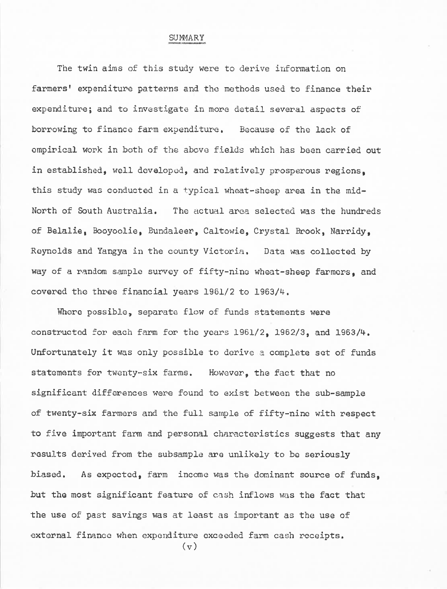## SUMMARY

The twin aims of this study were to derive information on farmers' expenditure patterns and the methods used to finance their expenditure; and to investigate in more detail several aspects of borrowing to finance farm expenditure. Because of the lack of empirical work in both of the above fields which has been carried out in established, well developed, and relatively prosperous regions. this study was conducted in a typical wheat-sheep area in the mid-North of South Australia. The actual area selected was the hundreds of Belalie, Booyoolie, Bundaleer, Caltowie, Crystal Brook, Narridy. Reynolds and Yangya in the county Victoria. Data was collected by way of a random sample survey of fifty-nine wheat-sheep farmers. and covered the three financial years 1961/2 to 1963/4.

Where possible, separate flow of funds statements were constructed for each farm for the years 1961/2. 1962/3. and 1963/4. Unfortunately it was only possible to derive a complete set of funds statements for twenty-six farms. However, the fact that no significant differences were found to exist between the sub-sample of twenty-six farmers and the full sample of fifty-nine with respect to five important farm and personal characteristics suggests that any results derived from the subsample are unlikely to be seriously As expected, farm income was the dominant source of funds. biased. but the most significant feature of cash inflows was the fact that the use of past savings was at least as important as the use of external finance when expenditure exceeded farm cash receipts.

 $(v)$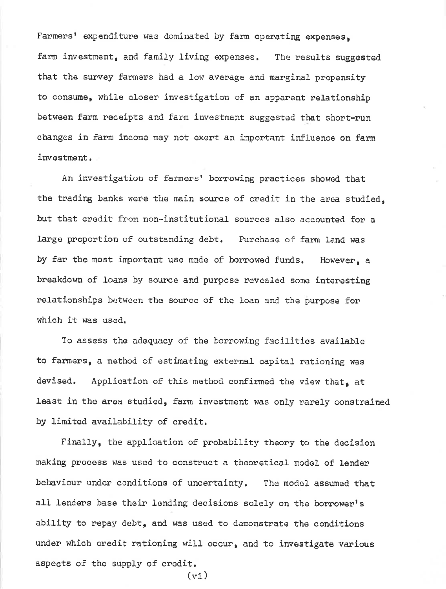Farmers' expenditure was dominated by farm operating expenses. farm investment, and family living expenses. The results suggested that the survey farmers had a low average and marginal propensity to consume, while closer investigation of an apparent relationship between farm receipts and farm investment suggested that short-run changes in farm income may not exert an important influence on farm investment.

An investigation of farmers' borrowing practices showed that the trading banks were the main source of credit in the area studied. but that credit from non-institutional sources also accounted for a large proportion of outstanding debt. Purchase of farm land was by far the most important use made of borrowed funds. However, a breakdown of loans by source and purpose revealed some interesting relationships between the source of the loan and the purpose for which it was used.

To assess the adequacy of the borrowing facilities available to farmers, a method of estimating external capital rationing was devised. Application of this method confirmed the view that, at least in the area studied, farm investment was only rarely constrained by limited availability of credit.

Finally, the application of probability theory to the decision making process was used to construct a theoretical model of lender behaviour under conditions of uncertainty. The model assumed that all lenders base their lending decisions solely on the borrower's ability to repay debt, and was used to demonstrate the conditions under which credit rationing will occur, and to investigate various aspects of the supply of credit.  $(vi)$